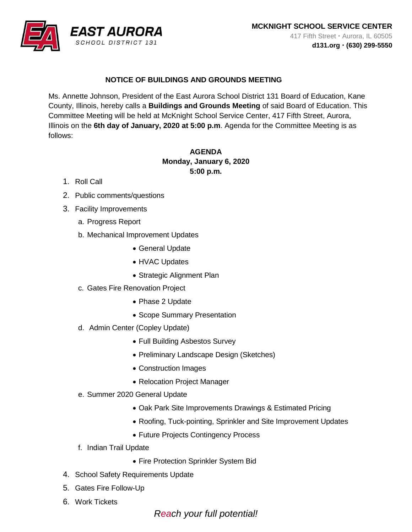

## **NOTICE OF BUILDINGS AND GROUNDS MEETING**

Ms. Annette Johnson, President of the East Aurora School District 131 Board of Education, Kane County, Illinois, hereby calls a **Buildings and Grounds Meeting** of said Board of Education. This Committee Meeting will be held at McKnight School Service Center, 417 Fifth Street, Aurora, Illinois on the **6th day of January, 2020 at 5:00 p.m**. Agenda for the Committee Meeting is as follows:

## **AGENDA Monday, January 6, 2020 5:00 p.m.**

- 1. Roll Call
- 2. Public comments/questions
- 3. Facility Improvements
	- a. Progress Report
	- b. Mechanical Improvement Updates
		- General Update
		- HVAC Updates
		- Strategic Alignment Plan
	- c. Gates Fire Renovation Project
		- Phase 2 Update
		- Scope Summary Presentation
	- d. Admin Center (Copley Update)
		- Full Building Asbestos Survey
		- Preliminary Landscape Design (Sketches)
		- Construction Images
		- Relocation Project Manager
	- e. Summer 2020 General Update
		- Oak Park Site Improvements Drawings & Estimated Pricing
		- Roofing, Tuck-pointing, Sprinkler and Site Improvement Updates
		- Future Projects Contingency Process
	- f. Indian Trail Update
		- Fire Protection Sprinkler System Bid
- 4. School Safety Requirements Update
- 5. Gates Fire Follow-Up
- 6. Work Tickets